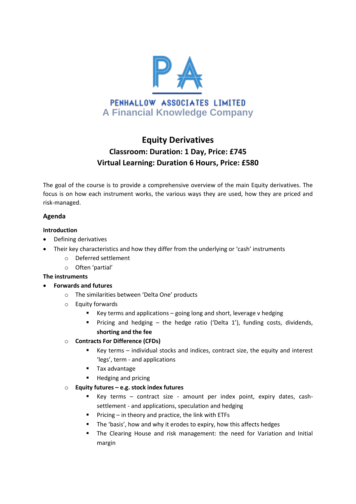

# **Equity Derivatives Classroom: Duration: 1 Day, Price: £745 Virtual Learning: Duration 6 Hours, Price: £580**

The goal of the course is to provide a comprehensive overview of the main Equity derivatives. The focus is on how each instrument works, the various ways they are used, how they are priced and risk-managed.

## **Agenda**

#### **Introduction**

- Defining derivatives
	- Their key characteristics and how they differ from the underlying or 'cash' instruments
		- o Deferred settlement
		- o Often 'partial'

#### **The instruments**

- **Forwards and futures**
	- o The similarities between 'Delta One' products
	- o Equity forwards
		- Key terms and applications  $-$  going long and short, leverage v hedging
		- Pricing and hedging the hedge ratio ('Delta 1'), funding costs, dividends, **shorting and the fee**

#### o **Contracts For Difference (CFDs)**

- Key terms individual stocks and indices, contract size, the equity and interest 'legs', term - and applications
- **Tax advantage**
- **Hedging and pricing**
- o **Equity futures – e.g. stock index futures**
	- Key terms contract size amount per index point, expiry dates, cashsettlement - and applications, speculation and hedging
	- **Pricing in theory and practice, the link with ETFs**
	- The 'basis', how and why it erodes to expiry, how this affects hedges
	- The Clearing House and risk management: the need for Variation and Initial margin